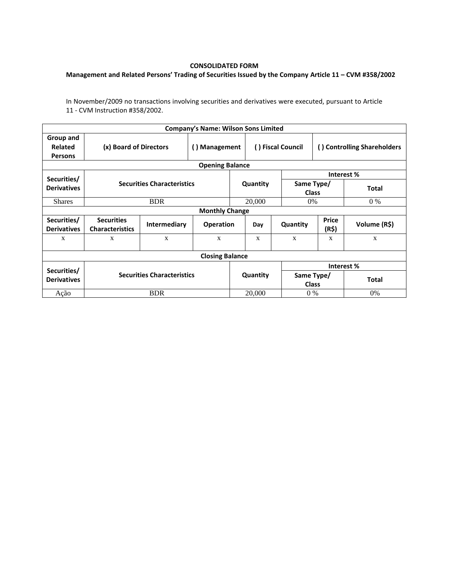## **CONSOLIDATED FORM**

## **Management and Related Persons' Trading of Securities Issued by the Company Article 11 – CVM #358/2002**

In November/2009 no transactions involving securities and derivatives were executed, pursuant to Article 11 - CVM Instruction #358/2002.

|                                                         |                                             |              | <b>Company's Name: Wilson Sons Limited</b> |          |                            |                            |                             |              |  |  |
|---------------------------------------------------------|---------------------------------------------|--------------|--------------------------------------------|----------|----------------------------|----------------------------|-----------------------------|--------------|--|--|
| Group and<br><b>Related</b><br><b>Persons</b>           | (x) Board of Directors                      |              | () Management                              |          | () Fiscal Council          |                            | () Controlling Shareholders |              |  |  |
|                                                         |                                             |              | <b>Opening Balance</b>                     |          |                            |                            |                             |              |  |  |
| Securities/                                             |                                             |              |                                            |          |                            | Interest %                 |                             |              |  |  |
| <b>Securities Characteristics</b><br><b>Derivatives</b> |                                             |              |                                            | Quantity | Same Type/<br><b>Class</b> |                            | <b>Total</b>                |              |  |  |
| <b>Shares</b>                                           | <b>BDR</b>                                  |              |                                            |          | 20,000                     |                            | $0\%$<br>0%                 |              |  |  |
| <b>Monthly Change</b>                                   |                                             |              |                                            |          |                            |                            |                             |              |  |  |
| Securities/<br><b>Derivatives</b>                       | <b>Securities</b><br><b>Characteristics</b> | Intermediary | <b>Operation</b>                           |          | Day                        | Quantity                   | <b>Price</b><br>(R\$)       | Volume (R\$) |  |  |
| X                                                       | X                                           | $\mathbf{x}$ | $\mathbf{x}$                               |          | X                          | $\mathbf{x}$               | $\mathbf{x}$                | X            |  |  |
| <b>Closing Balance</b>                                  |                                             |              |                                            |          |                            |                            |                             |              |  |  |
|                                                         |                                             |              |                                            |          |                            | Interest %                 |                             |              |  |  |
| Securities/<br><b>Derivatives</b>                       | <b>Securities Characteristics</b>           |              |                                            | Quantity |                            | Same Type/<br><b>Class</b> |                             | <b>Total</b> |  |  |
| Ação                                                    | <b>BDR</b>                                  |              |                                            | 20,000   |                            | $0\%$                      |                             | $0\%$        |  |  |